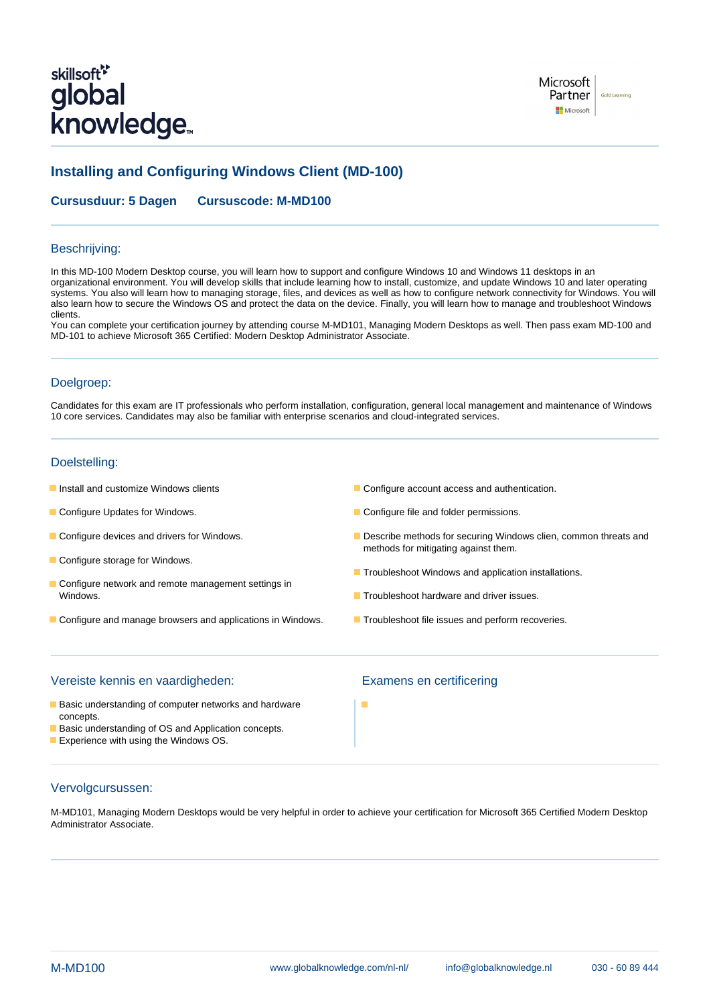# skillsoft<sup>\*</sup> global **knowledge**



# **Installing and Configuring Windows Client (MD-100)**

**Cursusduur: 5 Dagen Cursuscode: M-MD100**

### Beschrijving:

In this MD-100 Modern Desktop course, you will learn how to support and configure Windows 10 and Windows 11 desktops in an organizational environment. You will develop skills that include learning how to install, customize, and update Windows 10 and later operating systems. You also will learn how to managing storage, files, and devices as well as how to configure network connectivity for Windows. You will also learn how to secure the Windows OS and protect the data on the device. Finally, you will learn how to manage and troubleshoot Windows clients.

You can complete your certification journey by attending course M-MD101, Managing Modern Desktops as well. Then pass exam MD-100 and MD-101 to achieve Microsoft 365 Certified: Modern Desktop Administrator Associate.

# Doelgroep:

Candidates for this exam are IT professionals who perform installation, configuration, general local management and maintenance of Windows 10 core services. Candidates may also be familiar with enterprise scenarios and cloud-integrated services.

# Doelstelling:

- 
- 
- 
- Configure storage for Windows.
- Configure network and remote management settings in Windows. The contract of the contract of the contract of the contract of the contract of the contract of the contract of the contract of the contract of the contract of the contract of the contract of the contract of the c
- Configure and manage browsers and applications in Windows. The Troubleshoot file issues and perform recoveries.
- **Install and customize Windows clients** Configure account access and authentication.
- **Configure Updates for Windows.** Configure file and folder permissions.
- Configure devices and drivers for Windows. Describe methods for securing Windows clien, common threats and methods for mitigating against them.
	- **Troubleshoot Windows and application installations.**
	-
	-

# Vereiste kennis en vaardigheden: Examens en certificering

- **Basic understanding of computer networks and hardware** concepts.
- Basic understanding of OS and Application concepts.
- **Experience with using the Windows OS.**

# Vervolgcursussen:

M-MD101, Managing Modern Desktops would be very helpful in order to achieve your certification for Microsoft 365 Certified Modern Desktop Administrator Associate.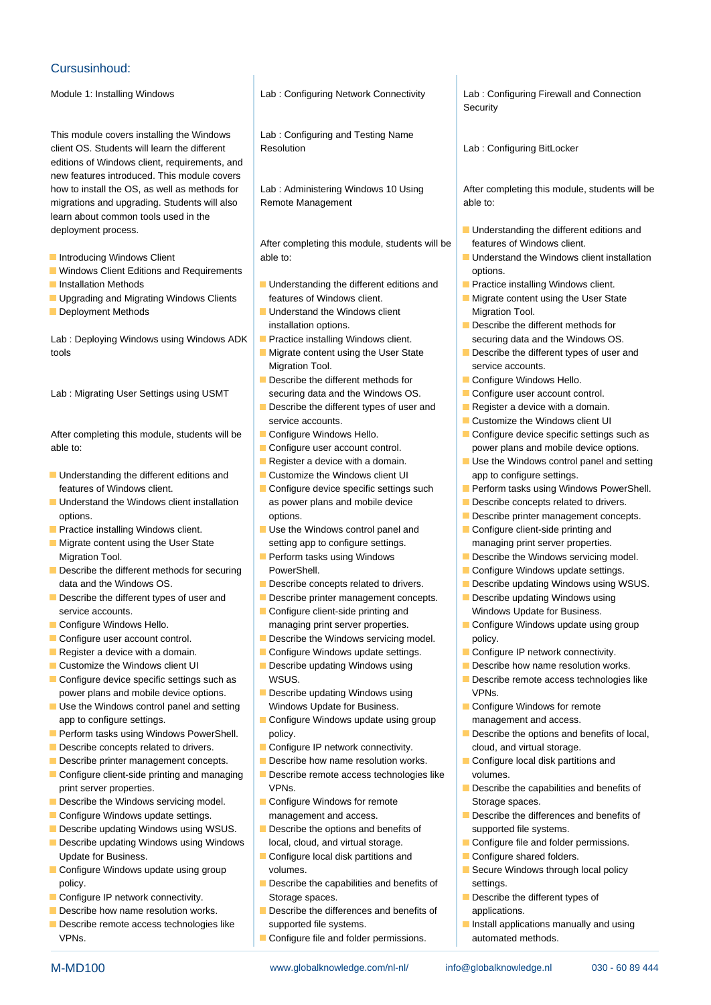## Cursusinhoud:

This module covers installing the Windows | Lab : Configuring and Testing Name client OS. Students will learn the different Resolution Resolution Lab : Configuring BitLocker editions of Windows client, requirements, and new features introduced. This module covers how to install the OS, as well as methods for | Lab : Administering Windows 10 Using | After completing this module, students will be migrations and upgrading. Students will also Remote Management able to: learn about common tools used in the deployment process. The contract of the contract of the different editions and deployment process.

- 
- **Notational Editions and Requirements in the option of the options.** All the options options.
- 
- 
- 

tools **Migrate content using the User State** Describe the different types of user and

Lab : Migrating User Settings using USMT securing data and the Windows OS. **Configure user account control.** 

able to: configure user account control. power plans and mobile device options.

- Understanding the different editions and <br>■ Customize the Windows client UI app to configure settings.
- options. **options.** Options. **options.** Options. **Describe printer management concepts.**
- 
- Migrate content using the User State setting app to configure settings. The managing print server properties. Migration Tool. **Perform tasks using Windows Perform tasks using Windows Describe the Windows servicing model.**
- **Describe the different methods for securing PowerShell.** ProverShell. Configure Windows update settings. data and the Windows OS. **Describe Concepts related to drivers. Describe updating Windows using WSUS.**
- service accounts. Configure client-side printing and Windows Update for Business.
- 
- 
- 
- 
- power plans and mobile device options. Describe updating Windows using VPNs.
- Use the Windows control panel and setting Windows Update for Business. **Configure Windows for remote** app to configure settings. The Configure Windows update using group management and access.
- 
- Describe concepts related to drivers. Configure IP network connectivity. Cloud, and virtual storage.
- Describe printer management concepts. Describe how name resolution works. Describe local disk partitions and
- Configure client-side printing and managing **Describe remote access technologies like** volumes.
- Describe the Windows servicing model. Configure Windows for remote Storage spaces.
- 
- Describe updating Windows using WSUS. Describe the options and benefits of supported file systems.
- Describe updating Windows using Windows | local, cloud, and virtual storage. | Configure file and folder permissions. Update for Business. The Configure local disk partitions and Configure shared folders.
- **Configure Windows update using group volumes.** Secure Windows through local policy volumes. policy. **Describe the capabilities and benefits of** settings.
- 
- Describe how name resolution works. Describe the differences and benefits of applications.
- Describe remote access technologies like supported file systems. VPNs. Configure file and folder permissions. The automated methods.

After completing this module, students will be  $\parallel$  features of Windows client. Introducing Windows Client able to: Understand the Windows client installation

- Installation Methods **Intervellet Conducts** Interventions and **Practice installing Windows client.** ■ Upgrading and Migrating Windows Clients features of Windows client. Migrate content using the User State
- Deployment Methods **Understand the Windows client** Migration Tool. installation options.  $\Box$  Describe the different methods for
	-
	- Migration Tool. **Subset Contract Contract Contract Contract Contract Contract Contract Contract Contract Contract Contract Contract Contract Contract Contract Contract Contract Contract Contract Contract Contract Contract**
	- Describe the different methods for **Configure Windows Hello.**
	- Describe the different types of user and  $\Box$  Register a device with a domain. service accounts. Customize the Windows client UI
	-
	-
	-
	-
- Understand the Windows client installation as power plans and mobile device **Describe concepts related to drivers.**
- **Practice installing Windows client.** Use the Windows control panel and **Configure client-side printing and** 
	-
	-
- Describe the different types of user and Describe printer management concepts. Describe updating Windows using
	-
- **Configure user account control.** Describe the Windows servicing model. policy.
- Register a device with a domain. **Configure Windows update settings. Configure IP network connectivity.**
- **Customize the Windows client UI** Describe updating Windows using **Describe how name resolution works.** 
	-
	-
	-
	-
	- print server properties. The server properties. The version of the VPNs. The version of the Capabilities and benefits of
		-
		-
		-
- Configure IP network connectivity. Storage spaces. Storage spaces.
	-

M-MD100 www.globalknowledge.com/nl-nl/ info@globalknowledge.nl 030 - 60 89 444

Module 1: Installing Windows **Lab** : Configuring Network Connectivity Lab : Configuring Firewall and Connection line line Security

- 
- 
- 
- 
- Lab : Deploying Windows using Windows ADK **Practice installing Windows client.** Securing data and the Windows OS.
	-
	-
	-
	-
	-
- After completing this module, students will be Configure Windows Hello. Configure Configure device specific settings such as
	- Register a device with a domain.  $\Box$  Use the Windows control panel and setting
	- features of Windows client. **Configure device specific settings such Perform tasks using Windows PowerShell.** 
		-
		-
		-
		-
		-
		-
		-
- Configure Windows Hello. The managing print server properties. The Configure Windows update using group
	-
	-
- **Configure device specific settings such as Access** WSUS. Describe remote access technologies like
	-
- **Perform tasks using Windows PowerShell.** policy.  $\blacksquare$  **Describe the options and benefits of local,**  $\blacksquare$  **Describe the options and benefits of local,** 
	-
	-
- Configure Windows update settings. The management and access. **Describe the differences and benefits of**  $\blacksquare$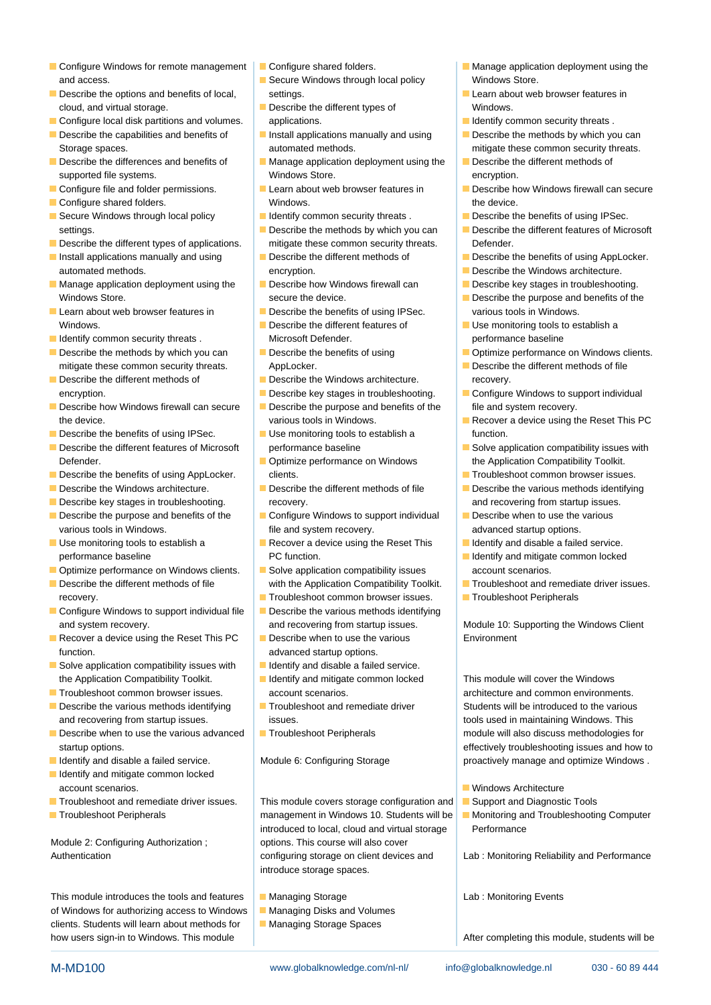- Configure Windows for remote management **Configure shared folders.** Manage application deployment using the and access. Secure Windows through local policy Windows Store.
- Describe the options and benefits of local, settings. Settings. Learn about web browser features in cloud, and virtual storage.  $\Box$  Describe the different types of Windows.
- Configure local disk partitions and volumes. applications. In the state of the leader of leaders in the local disk partitions and volumes. Applications.
- Storage spaces. The state of the state of the state of the state of the state of the security threats.
- 
- 
- 
- 
- Describe the different types of applications. mitigate these common security threats. Defender.
- automated methods. encryption. And the Constantine Constanting of the Windows architecture.
- Manage application deployment using the Describe how Windows firewall can Describe key stages in troubleshooting.
- Learn about web browser features in **Describe the benefits of using IPSec.** various tools in Windows. Windows.  $\Box$  Describe the different features of  $\Box$  Use monitoring tools to establish a
- 
- mitigate these common security threats. AppLocker. AppLocker. Applocker.
- 
- Describe how Windows firewall can secure **D** Describe the purpose and benefits of the file and system recovery.
- Describe the benefits of using IPSec. **Use monitoring tools to establish a** function.
- Defender. **Optimize performance on Windows** the Application Compatibility Toolkit.
- 
- 
- 
- 
- 
- $\Box$  Optimize performance on Windows clients.  $\Box$  Solve application compatibility issues account scenarios.
- 
- **Configure Windows to support individual file** Describe the various methods identifying and system recovery. **And recovering from startup issues.** Module 10: Supporting the Windows Client
- Recover a device using the Reset This PC  $\Box$  Describe when to use the various Environment function. **and incremental startup of the startup options.** advanced startup options.
- $\blacksquare$  Solve application compatibility issues with  $\blacksquare$  Identify and disable a failed service. the Application Compatibility Toolkit. **I I** ldentify and mitigate common locked This module will cover the Windows
- **Troubleshoot common browser issues.** account scenarios. And architecture and common environments.
- Describe the various methods identifying Troubleshoot and remediate driver Students will be introduced to the various and recovering from startup issues. issues. in itsues. This issues issues and recovering Windows. This issues i
- Describe when to use the various advanced **Troubleshoot Peripherals** module will also discuss methodologies for
- 
- $\blacksquare$  Identify and mitigate common locked account scenarios. Windows Architecture and the state of the state of the state of the state of the state of the state of the state of the state of the state of the state of the state of the state of the state of the state
- 
- 

Module 2: Configuring Authorization ; published approach in Sourse will also cover

## This module introduces the tools and features  $\Box$  Managing Storage  $\Box$  Lab : Monitoring Events of Windows for authorizing access to Windows **Managing Disks and Volumes** clients. Students will learn about methods for Managing Storage Spaces how users sign-in to Windows. This module After completing this module, students will be a students will be a student of  $\blacksquare$

- 
- 
- 
- 
- Describe the differences and benefits of Manage application deployment using the Describe the different methods of supported file systems. The supported file systems. The system of the systems of the systems of the system of the system of the system of the system of the system of the system of the system of the system of the system of
- Configure shared folders. The configure shared folders. The device.
	-
	-
	-
	-
	-
- **IDENTIFY COMMON SECUTE THEORY COMMON SECUTIVE INCLUSIVE CONSERVANCE CONSERVANCE CONSERVANCE IN A PERFORMANCE BASELINE** 
	-
- Describe the different methods of **Describe the Windows architecture.** The Describe the Windows architecture.
	-
	-
	-
	-
- Describe key stages in troubleshooting. The covery. The covery and recovering from startup issues.
- Describe the purpose and benefits of the Configure Windows to support individual Describe when to use the various various tools in Windows. The state of the and system recovery. The startup options.
- Use monitoring tools to establish a **Recover a device using the Reset This** I dentify and disable a failed service. performance baseline **PC** function. In the performance baseline in the performance baseline in the PC function.
- Describe the different methods of file with the Application Compatibility Toolkit. Troubleshoot and remediate driver issues.
	- **Troubleshoot common browser issues.** Troubleshoot Peripherals
		-
		-
		-
		-
		-
		-
		-

■ Troubleshoot and remediate driver issues. | This module covers storage configuration and | ■ Support and Diagnostic Tools ■ Troubleshoot Peripherals **Management in Windows 10. Students will be** Monitoring and Troubleshooting Computer introduced to local, cloud and virtual storage Performance Authentication **configuring storage on client devices and** Lab : Monitoring Reliability and Performance introduce storage spaces.

M-MD100 www.globalknowledge.com/nl-nl/ info@globalknowledge.nl 030 - 60 89 444

- 
- 
- 
- 
- 
- 
- Describe the capabilities and benefits of **I**nstall applications manually and using **Describe the methods by which you can** 
	-
- Configure file and folder permissions. Learn about web browser features in Describe how Windows firewall can secure
- Secure Windows through local policy **IDENTIFY COMMON SECUTE THE SECURITY** Describe the benefits of using IPSec.
	- settings. **Describe the methods by which you can** Describe the different features of Microsoft
- Install applications manually and using **Describe the different methods of Describe the benefits of using AppLocker.** 
	-
	-
	- Windows Store. Store. Secure the device. The secure the device. Describe the purpose and benefits of the purpose and benefits of the
		-
- Describe the methods by which you can Describe the benefits of using Describe the Describe the benefits of using Describe in Describe in Describe the benefits of using Describe in Describe in Describe in Describe in Descri
	-
	- encryption. **Describe key stages in troubleshooting.** Configure Windows to support individual
	- the device. various tools in Windows. **Recover a device using the Reset This PC** the device using the Reset This PC
- Describe the different features of Microsoft performance baseline Solve application compatibility issues with
- Describe the benefits of using AppLocker. clients. Clients. The clients of the benefits of using AppLocker. Clients.
- Describe the Windows architecture. Describe the different methods of file Describe the various methods identifying
	-
	-
	-
	- -

startup options. **Example 3** and how to the startup options. The startup options and how to I Identify and disable a failed service. Module 6: Configuring Storage proactively manage and optimize Windows .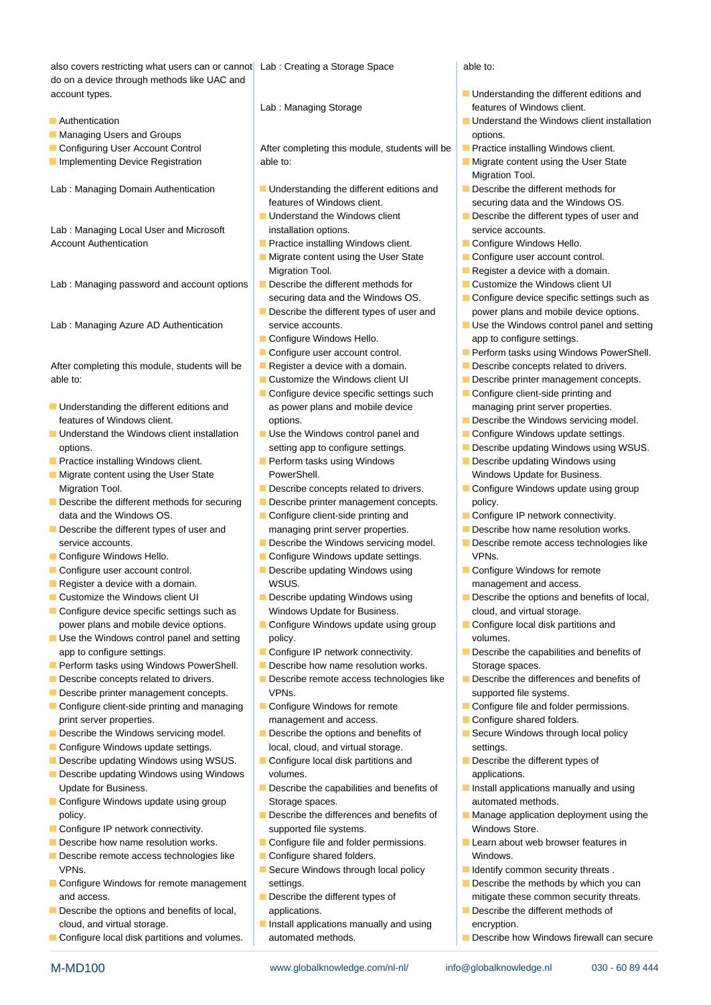also covers restricting what users can or cannot Lab : Creating a Storage Space able to: do on a device through methods like UAC and account types. The country of the state of the state of the Understanding the different editions and

- 
- **Managing Users and Groups options.** The managing Users and Groups options.
- 
- 
- 

Lab : Managing Local User and Microsoft installation options. The service accounts. Account Authentication **Practice installing Windows client.** Practice installing Windows client.

Lab : Managing password and account options Describe the different methods for Customize the Windows client UI

After completing this module, students will be Register a device with a domain. Describe concepts related to drivers. able to: Customize the Windows client UI Describe printer management concepts.

- Understanding the different editions and as power plans and mobile device managing print server properties.
- Understand the Windows client installation | Use the Windows control panel and | Configure Windows update settings. options. setting app to configure settings. **Describe updating Windows using WSUS.**
- **Practice installing Windows client.** Perform tasks using Windows **Describe updating Windows using Describe updating Windows using**
- **Migrate content using the User State Access PowerShell.** Number 2016 and Mindows Update for Business.
- Describe the different methods for securing **Describe printer management concepts.** policy. data and the Windows OS. **Configure Client-side printing and** Configure IP network connectivity.
- service accounts. **Describe the Windows servicing model.** Describe remote access technologies like
- 
- Configure user account control. Describe updating Windows using **Configure Windows for remote**
- 
- 
- Configure device specific settings such as Windows Update for Business. Cloud, and virtual storage. power plans and mobile device options.  $\Box$  Configure Windows update using group  $\Box$  Configure local disk partitions and
- Use the Windows control panel and setting policy. The policy policy is a setting policy of the Windows control panel and setting policy. app to configure settings. **Configure IP network connectivity.** Describe the capabilities and benefits of
- **Perform tasks using Windows PowerShell.** Describe how name resolution works. Storage spaces.
- 
- 
- Configure client-side printing and managing **Configure Windows for remote** Configure file and folder permissions. print server properties. management and access. **Configure shared folders.** The state of the management and access.
- Describe the Windows servicing model. Describe the options and benefits of Secure Windows through local policy
- Configure Windows update settings. local, cloud, and virtual storage. Settings.
- Describe updating Windows using WSUS. Configure local disk partitions and Describe the different types of
- **Describe updating Windows using Windows volumes.** All volumes volumes volumes values applications. Update for Business. **Describe the capabilities and benefits of Install applications manually and using**
- **Configure Windows update using group Storage spaces. automated methods.** And in the space of the storage spaces. policy. **Describe the differences and benefits of Manage application deployment using the**
- 
- 
- Describe remote access technologies like Configure shared folders. Windows. VPNs. Secure Windows through local policy **IDENT LIGENTIFY COMMON SECURITY** threats .
- Configure Windows for remote management settings. The methods by which you can and access. **Describe the different types of mitigate these common security threats.**
- Describe the options and benefits of local, applications. Describe the different methods of cloud, and virtual storage. The Install applications manually and using encryption.
- 

Configuring User Account Control | After completing this module, students will be | Practice installing Windows client. **Implementing Device Registration** able to: **Migrate content using the User State Content using the User State** 

- Lab : Managing Domain Authentication Understanding the different editions and Describe the different methods for features of Windows client. securing data and the Windows OS.
	-
	- $\blacksquare$  Migrate content using the User State  $\blacksquare$  Configure user account control.
	-
	-
	-
	-
	-
	-
	-
	- $\Box$  Configure device specific settings such  $\Box$  Configure client-side printing and features of Windows client. **Options** options. **Describe the Windows servicing model.** Describe the Windows servicing model.
		-
		-
	- Migration Tool. **Describe concepts related to drivers.** Configure Windows update using group
		-
- Describe the different types of user and managing print server properties. Describe how name resolution works.
	-
- Configure Windows Hello. 
 Configure Windows update settings. 
 VPNs.
- Register a device with a domain. MSUS. The state of the state of the management and access.
- Customize the Windows client UI Describe updating Windows using **Describe the options and benefits of local**,
	-
	-
	-
- Describe concepts related to drivers. Describe remote access technologies like Describe the differences and benefits of Describe printer management concepts. VPNs. VPNs. supported file systems.
	-
	-
	-
	-
- **Configure IP network connectivity.** supported file systems. Windows Store.
- Describe how name resolution works. Configure file and folder permissions. Learn about web browser features in
	-
	-
	-
- Configure local disk partitions and volumes. <br>
automated methods. 
<br> **Describe how Windows firewall can secure** and volumes. 
automated methods.

M-MD100 www.globalknowledge.com/nl-nl/ info@globalknowledge.nl 030 - 60 89 444

- Lab : Managing Storage features of Windows client.
- **Authentication and Solution line Understand the Windows client installation** 
	-
	- Migration Tool.
	-
	- Understand the Windows client **Describe the different types of user and** 
		-
		-
	- Migration Tool. **Register a device with a domain.** Register a device with a domain.
		-
	- securing data and the Windows OS. Configure device specific settings such as Describe the different types of user and power plans and mobile device options.
- Lab : Managing Azure AD Authentication service accounts. The Service of the Windows control panel and setting **Configure Windows Hello.** app to configure settings.
	- Configure user account control. Perform tasks using Windows PowerShell.
		-
		-
		-
		-
		-
		-
		-
		-
		-
		-
		-
		-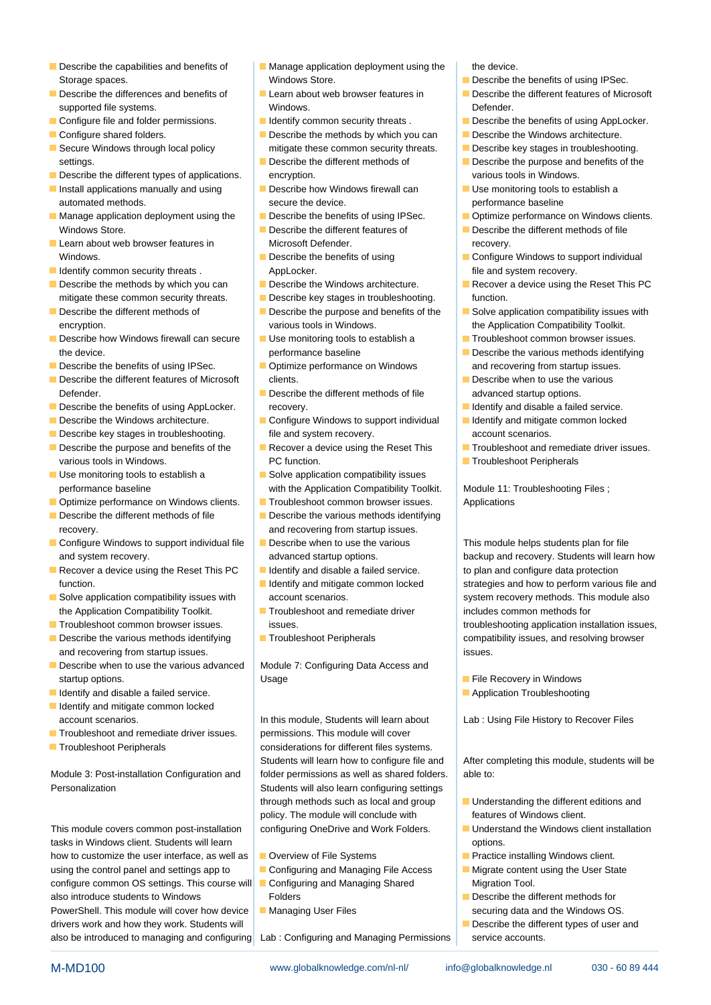- 
- supported file systems. The systems of the systems of the Mindows. The system of the Defender.
- Configure file and folder permissions. In Identify common security threats . Describe the benefits of using AppLocker.
- 
- 
- Describe the different types of applications. encryption. The encryption entries of a various tools in Windows.
- automated methods. The secure the device. The secure the device is seen the device of the performance baseline
- Windows Store. **Describe the different features of Describe the different methods of file**
- Learn about web browser features in Microsoft Defender. The metal of the recovery.
- I Identify common security threats . AppLocker. AppLocker. The statement of the and system recovery.
- mitigate these common security threats. Describe key stages in troubleshooting. | function.
- 
- Describe how Windows firewall can secure USE use monitoring tools to establish a Troubleshoot common browser issues. the device. **Example 20** of the various methods identifying the device.
- Describe the benefits of using IPSec. **Optimize performance on Windows** and recovering from startup issues.
- Describe the different features of Microsoft clients.  $\Box$  Describe when to use the various Defender. **Describe the different methods of file** advanced startup options.
- Describe the benefits of using AppLocker. The recovery. The service is a failed service.
- 
- 
- Describe the purpose and benefits of the Recover a device using the Reset This Troubleshoot and remediate driver issues. various tools in Windows. The PC function. The Community of the Community Community PC function.
- 
- **Optimize performance on Windows clients.** Troubleshoot common browser issues. Applications
- Describe the different methods of file  $\Box$  Describe the various methods identifying recovery. The covering from startup issues.
- Configure Windows to support individual file Describe when to use the various This module helps students plan for file
- Recover a device using the Reset This PC I Identify and disable a failed service. to plan and configure data protection
- the Application Compatibility Toolkit. The Troubleshoot and remediate driver includes common methods for
- 
- and recovering from startup issues. issues.  $\Box$  issues.
- Describe when to use the various advanced | Module 7: Configuring Data Access and startup options. The startup options of the Usage File Recovery in Windows and The Recovery in Windows
- **IDENTIFY Application Troubleshooting** and disable a failed service.
- I Identify and mitigate common locked
- Troubleshoot and remediate driver issues. | permissions. This module will cover
- 

Module 3: Post-installation Configuration and folder permissions as well as shared folders. able to: Personalization **Students will also learn configuring settings** lines in Students will also learn configuring settings

tasks in Windows client. Students will learn line options. In the options. how to customize the user interface, as well as Overview of File Systems Practice installing Windows client. using the control panel and settings app to Configuring and Managing File Access Migrate content using the User State configure common OS settings. This course will Configuring and Managing Shared Migration Tool. also introduce students to Windows Folders Folders Providents of the Describe the different methods for PowerShell. This module will cover how device **Managing User Files** Securing data and the Windows OS. drivers work and how they work. Students will **Describe the different types of user and** drivers will be a proportional Describe the different types of user and also be introduced to managing and configuring Lab : Configuring and Managing Permissions service accounts.

- Describe the capabilities and benefits of Manage application deployment using the the device. Storage spaces. The state of the United Store Store. The Storage spaces is a percent of the benefits of using IPSec.
	-
	-
- Configure shared folders. **Describe the methods by which you can** Describe the Windows architecture. Secure Windows through local policy mitigate these common security threats. Describe key stages in troubleshooting.
	- settings. **Describe the different methods of Describe the purpose and benefits of the**
- Install applications manually and using Describe how Windows firewall can Duse monitoring tools to establish a
	-
	-
	-
	-
	-
	- encryption. various tools in Windows. The Application Compatibility Toolkit.
		-
		-
		-
- Describe the Windows architecture. **Configure Windows to support individual Intervel Individual Intervel in the U** Describe key stages in troubleshooting. File and system recovery. The secount scenarios.
	-
- Use monitoring tools to establish a Solve application compatibility issues performance baseline **with the Application Compatibility Toolkit.** Module 11: Troubleshooting Files ;
	-
	-
	-
	-
	-
	-
	-

account scenarios. **In this module, Students will learn about** Lab : Using File History to Recover Files **The Troubleshoot Peripherals considerations for different files systems.** through methods such as local and group Understanding the different editions and policy. The module will conclude with features of Windows client. This module covers common post-installation configuring OneDrive and Work Folders. I Understand the Windows client installation

- 
- 
- 
- 

- 
- Describe the differences and benefits of Learn about web browser features in Describe the different features of Microsoft
	-
	-
	-
	-
	-
- Manage application deployment using the Describe the benefits of using IPSec. Deptimize performance on Windows clients.
	-
	- Windows. **Describe the benefits of using Configure Windows to support individual**
- Describe the methods by which you can Describe the Windows architecture. Recover a device using the Reset This PC
- Describe the different methods of **Describe the purpose and benefits of the** Solve application compatibility issues with
	-
	-
	-
	-
	-
	-
	-

and system recovery. The startup options. And system recovery. Students will learn how function. **In the strategies and mitigate common locked** strategies and how to perform various file and Solve application compatibility issues with account scenarios. Subsetem recovery methods. This module also **Troubleshoot common browser issues.** issues. issues. issues. troubleshooting application installation issues, Describe the various methods identifying Troubleshoot Peripherals compatibility issues, and resolving browser

- 
- 

Students will learn how to configure file and <br>After completing this module, students will be

- 
- 
- 
- 
- 
-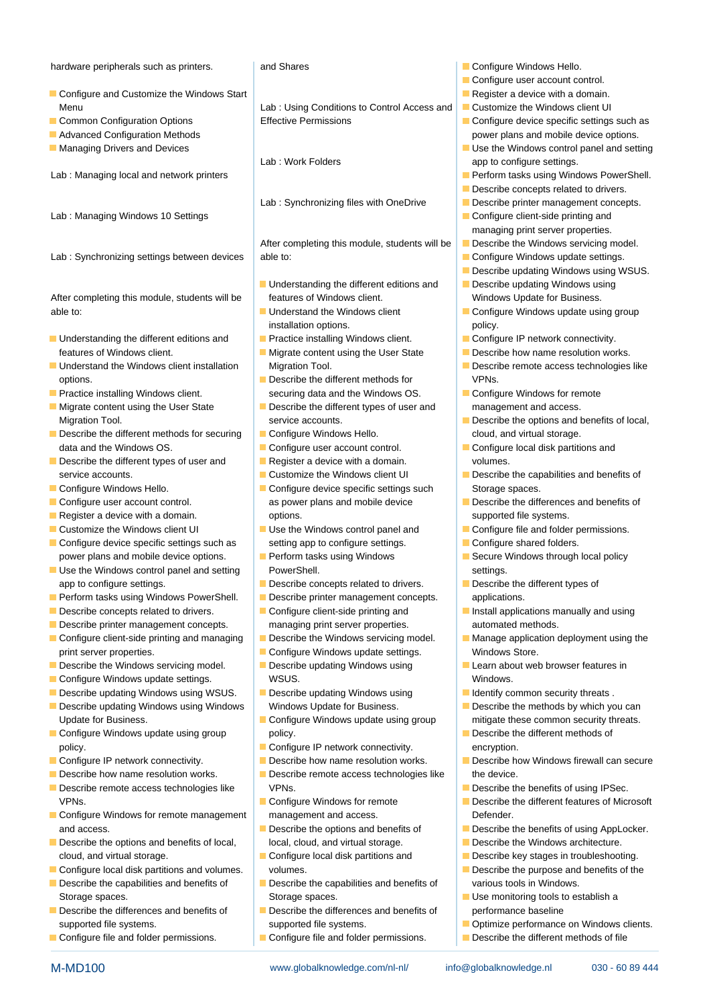### hardware peripherals such as printers. And Shares Configure Windows Hello.

- Configure and Customize the Windows Start Register a device with a domain. Menu Lab : Using Conditions to Control Access and Customize the Windows client UI
- 
- 
- 

Lab : Managing Windows 10 Settings line Configure Configure client-side printing and

able to: **If the Understand the Windows client** Configure Windows update using group

- Understanding the different editions and Practice installing Windows client. Configure IP network connectivity. features of Windows client. Migrate content using the User State Describe how name resolution works.
- Understand the Windows client installation Migration Tool. Describe remote access technologies like options. The context of the Describe the different methods for the VPNs.
- 
- Migrate content using the User State **Describe the different types of user and** management and access.
- Describe the different methods for securing **Configure Windows Hello.** cloud, and virtual storage. data and the Windows OS. **Configure user account control.** Configure user account control. **Configure local disk partitions and**
- Describe the different types of user and Register a device with a domain. volumes. service accounts. Customize the Windows client UI Describe the capabilities and benefits of
- 
- 
- 
- 
- Configure device specific settings such as setting app to configure settings. **Configure shared folders.** power plans and mobile device options. **Perform tasks using Windows Secure Windows through local policy** power plans and mobile policy
- Use the Windows control panel and setting PowerShell. The Power Shell Settings. app to configure settings.  $\Box$  Describe concepts related to drivers.  $\Box$  Describe the different types of
- **Perform tasks using Windows PowerShell.** Describe printer management concepts.  $\Box$  applications.
- Describe concepts related to drivers. Configure client-side printing and Install applications manually and using
- Describe printer management concepts. <br>managing print server properties. automated methods.
- Configure client-side printing and managing **Describe the Windows servicing model.** Manage application deployment using the print server properties. Configure Windows update settings. Windows Store.
- Describe the Windows servicing model. Describe updating Windows using Learn about web browser features in
- **Configure Windows update settings.** WSUS. WINDOWS.
- Describe updating Windows using WSUS. Describe updating Windows using **IDENTIFY COMMON SECURY SET** Let us using  $\blacksquare$
- **Describe updating Windows using Windows Windows Windows Update for Business. Describe the methods by which you can** Update for Business. The Configure Windows update using group mitigate these common security threats.
- policy. The configure IP network connectivity. The encryption.
- Configure IP network connectivity. **Describe how name resolution works.** Describe how Windows firewall can secure
- Describe how name resolution works. Describe remote access technologies like the device.
- Describe remote access technologies like VPNs. VENS. Describe the benefits of using IPSec. VPNs. Configure Windows for remote Describe the different features of Microsoft Describe the different features of Microsoft
- **Configure Windows for remote management** management and access. Defender. and access. **Describe the options and benefits of Describe the benefits of using AppLocker.**
- Describe the options and benefits of local, local, cloud, and virtual storage. Describe the Windows architecture. cloud, and virtual storage. Configure local disk partitions and **Describe key stages in troubleshooting.**
- Configure local disk partitions and volumes. volumes. volumes. Describe the purpose and benefits of the number of the purpose and benefits of the
- 
- Describe the differences and benefits of Describe the differences and benefits of performance baseline
- 

- Common Configuration Options Effective Permissions Configure device specific settings such as
	-
	-

After completing this module, students will be  $\Box$  Describe the Windows servicing model. Lab : Synchronizing settings between devices able to: Configure Windows update settings.

- Understanding the different editions and Describe updating Windows using After completing this module, students will be features of Windows client. Notice that Mindows Update for Business.
	- installation options. **policy** policy.
	-
	-
- **Practice installing Windows client.** securing data and the Windows OS. **Configure Windows for remote** securing data and the Windows OS.
	-
	-
	-
	-
	-
- Configure Windows Hello. Configure device specific settings such Storage spaces. **Configure user account control.** as power plans and mobile device **Describe the differences and benefits of**  $\blacksquare$ **Register a device with a domain.** The options. The supported file systems.
- Customize the Windows client UI November 1988 Use the Windows control panel and North Configure file and folder permissions.
	-
	-
	-
	-
	-
	-
	-
	-
- **Configure Windows update using group example policy.** Notice the policy policy and the policy policy and the policy of the Describe the different methods of
	-
	-
	-
	-
	-
	-
- Describe the capabilities and benefits of Describe the capabilities and benefits of various tools in Windows. Storage spaces. Storage spaces. Storage spaces. Storage spaces is a stablish a stablish a
	- supported file systems. Supported file systems. Supported file systems. **Optimize performance on Windows clients.**

M-MD100 www.globalknowledge.com/nl-nl/ info@globalknowledge.nl 030 - 60 89 444

Configure file and folder permissions. Configure file and folder permissions. Describe the different methods of file

- 
- $\blacksquare$  Configure user account control.
- 
- 
- **Advanced Configuration Methods** line power plans and mobile device options.
- $\blacksquare$  Managing Drivers and Devices Use the Use the Windows control panel and setting Lab : Work Folders **app to configure settings.**
- Lab : Managing local and network printers line Perform tasks using Windows PowerShell.
	- $\blacksquare$  Describe concepts related to drivers.
	- Lab : Synchronizing files with OneDrive **Describe printer management concepts.** 
		- managing print server properties.
		-
		-
		- $\blacksquare$  Describe updating Windows using WSUS.
		-
		-
		-
		-
		-
		-
	- Migration Tool. **Service accounts.** All the service accounts. Describe the options and benefits of local,
		-
		-
		-
		-
		-
		-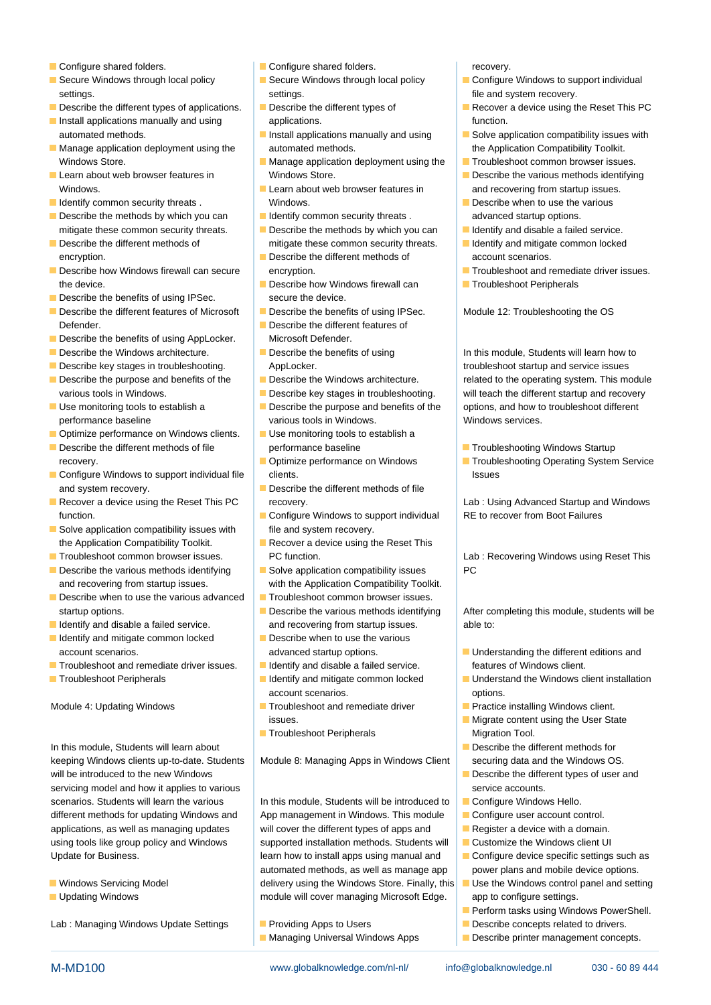- 
- settings. The settings is settings. The settings of the and system recovery.
- 
- Install applications manually and using applications. automated methods. Install applications manually and using **Solve application compatibility issues with**
- Windows Store. Manage application deployment using the Troubleshoot common browser issues.
- 
- 
- Describe the methods by which you can I Identify common security threats . advanced startup options. mitigate these common security threats.  $\Box$  Describe the methods by which you can  $\Box$  Identify and disable a failed service.
- encryption. **Describe the different methods of account scenarios. Describe the different methods of** account scenarios.
- the device. **Describe how Windows firewall can** Describe how Windows firewall can **Troubleshoot Peripherals**
- Describe the benefits of using IPSec. secure the device.
- Describe the different features of Microsoft Describe the benefits of using IPSec. Module 12: Troubleshooting the OS Defender. Defender and line of language in the Describe the different features of
- Describe the benefits of using AppLocker. Microsoft Defender.
- 
- 
- 
- 
- Optimize performance on Windows clients. Use monitoring tools to establish a
- Describe the different methods of file performance baseline Troubleshooting Windows Startup
- **Configure Windows to support individual file** clients. **In the client of the client of the client** clients of the client of the client of the client of the client of the client of the client of the client of the client of and system recovery.  $\Box$  Describe the different methods of file
- **Recover a device using the Reset This PC** recovery. The recovery recovery **Lab**: Using Advanced Startup and Windows function. Configure Windows to support individual RE to recover from Boot Failures
- $\blacksquare$  Solve application compatibility issues with file and system recovery. the Application Compatibility Toolkit. **Recover a device using the Reset This**
- 
- 
- **Describe when to use the various advanced**  $\Box$  Troubleshoot common browser issues.
- 
- I Identify and mitigate common locked Describe when to use the various
- Troubleshoot and remediate driver issues. Identify and disable a failed service. features of Windows client.
- 

In this module, Students will learn about Describe the different methods for keeping Windows clients up-to-date. Students | Module 8: Managing Apps in Windows Client | securing data and the Windows OS. will be introduced to the new Windows and the Describe the different types of user and servicing model and how it applies to various service accounts. scenarios. Students will learn the various In this module, Students will be introduced to Configure Windows Hello. different methods for updating Windows and App management in Windows. This module Configure user account control. applications, as well as managing updates will cover the different types of apps and Register a device with a domain. using tools like group policy and Windows supported installation methods. Students will Customize the Windows client UI

- 
- 

Lab : Managing Windows Update Settings **Providing Apps to Users Providing Apps to Users Providing Apps to Users** Providing Apps to Users Providing Apps to Users Providing Apps to Users Providing Apps to Users Providing A

- Configure shared folders. The Configure shared folders. The Configure shared folders. The covery.
	-
	-
- Manage application deployment using the automated methods. The Application Compatibility Toolkit.
- Learn about web browser features in Windows Store. Describe the various methods identifying
- I Identify common security threats . Windows. Windows Manuson Common security threats . Windows.
	-
- Describe the different methods of mitigate these common security threats. In Identify and mitigate common locked
	-
	-
	-
	-
	-
	-
	-
- Use monitoring tools to establish a **Describe the purpose and benefits of the** options, and how to troubleshoot different performance baseline various tools in Windows. Windows services.
	-
	-
	-
	-
	-
- **Describe the various methods identifying**  $\Box$  **Solve application compatibility issues**  $\Box$  PC and recovering from startup issues. with the Application Compatibility Toolkit.
	-
- I Identify and disable a failed service. And recovering from startup issues. All able to:
	-
	-
	- account scenarios. options.
- Module 4: Updating Windows **Troubleshoot and remediate driver Practice installing Windows client.** 
	- **Troubleshoot Peripherals** Migration Tool.

Update for Business. **Learn how to install apps using manual and Configure device specific settings such as a such as** automated methods, as well as manage app  $\vert$  power plans and mobile device options. ■ Windows Servicing Model **Delivery using the Windows Store. Finally, this** ■ Use the Windows control panel and setting **Updating Windows The Cover managing Microsoft Edge.** app to configure settings.

- 
- 

- Secure Windows through local policy **Secure Windows through local policy** Configure Windows to support individual
- Describe the different types of applications. Describe the different types of Recover a device using the Reset This PC
	-
	-
	- Windows. **Learn about web browser features in** and recovering from startup issues.
		-
		-
		-
- Describe how Windows firewall can secure encryption. The entropy of the Troubleshoot and remediate driver issues.
	-

Describe the Windows architecture. Describe the benefits of using In this module, Students will learn how to Describe key stages in troubleshooting. AppLocker. AppLocker. The state of troubleshoot startup and service issues Describe the purpose and benefits of the **Describe the Windows architecture.** Prelated to the operating system. This module various tools in Windows. **Describe key stages in troubleshooting.** will teach the different startup and recovery

recovery. **Optimize performance on Windows Troubleshooting Operating System Service** 

■ Troubleshoot common browser issues. 
■ PC function. 
■ PC function.

Lab : Recovering Windows using Reset This

startup options. **Describe the various methods identifying** After completing this module, students will be

- account scenarios. And and startup options. And advanced startup options.
- **Troubleshoot Peripherals Troubleshoot Peripherals Integral Common locked** Understand the Windows client installation
	-
	- line issues. Migrate content using the User State
		-
		-
		-
		-
		-
		-
		-
		-
		- Perform tasks using Windows PowerShell.
		-
	- Managing Universal Windows Apps | Describe printer management concepts.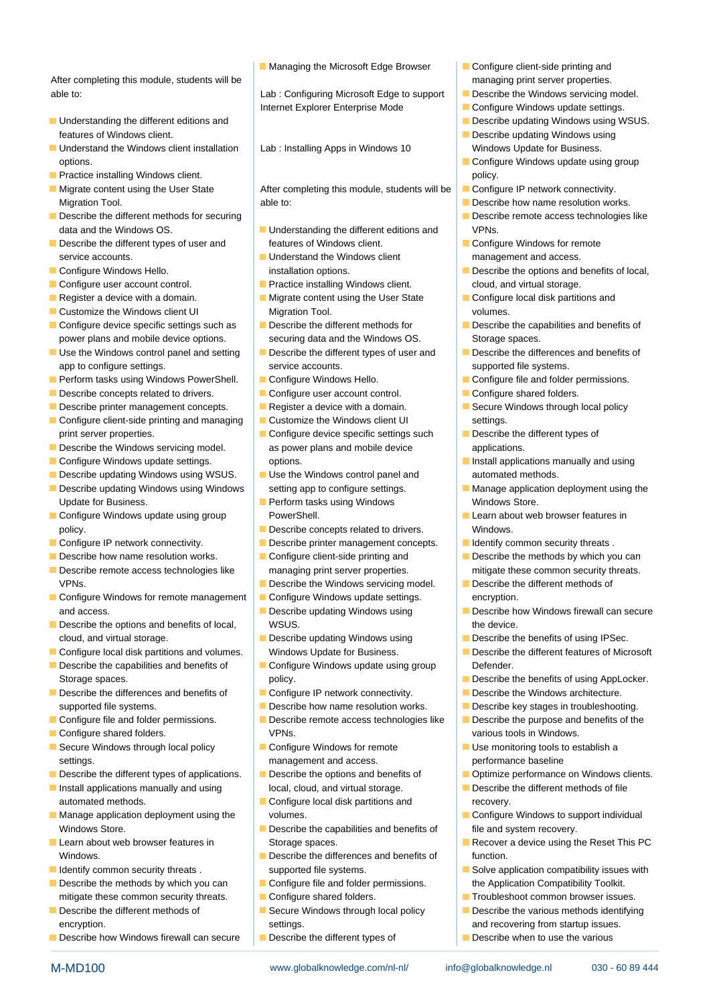After completing this module, students will be managing print server properties. able to: https://educitor.com/induction/induction/induction/induction/induction/induction/induction/induction/

- Understanding the different editions and line Describe updating Windows using WSUS. features of Windows client. Describe updating Windows using
- Understand the Windows client installation Lab : Installing Apps in Windows 10 Windows Update for Business. options. **line Configure Windows update using group** options.
- **Practice installing Windows client.** policy.
- 
- Describe the different methods for securing line Describe remote access technologies like
- Describe the different types of user and features of Windows client. Configure Windows for remote
- 
- Configure user account control. **Practice installing Windows client.** cloud, and virtual storage.
- 
- 
- Configure device specific settings such as Describe the different methods for Describe the capabilities and benefits of power plans and mobile device options. securing data and the Windows OS. Storage spaces.
- Use the Windows control panel and setting Describe the different types of user and Describe the differences and benefits of app to configure settings. Service accounts. Service accounts supported file systems.
- **Perform tasks using Windows PowerShell.** Configure Windows Hello. Configure file and folder permissions.
- Describe concepts related to drivers. Configure user account control. Configure shared folders.
- 
- Configure client-side printing and managing **Customize the Windows client UI** settings. print server properties. Configure device specific settings such Describe the different types of
- 
- 
- **Describe updating Windows using WSUS.** Use the Windows control panel and automated methods.
- Update for Business. Perform tasks using Windows Windows Store.
- **Configure Windows update using group PowerShell.** PowerShell **PowerShell PowerShell PowerShell PowerShell PowerShell PowerShell PowerShell PowerShell PowerShell PowerShell PowerShell PowerShell Pow** policy. **Describe concepts related to drivers.** Windows.
- 
- 
- Describe remote access technologies like managing print server properties. mitigate these common security threats. VPNs. **Describe the Windows servicing model.** Describe the different methods of
- $\Box$  Configure Windows for remote management  $\Box$  Configure Windows update settings.  $\Box$  encryption. and access. **Describe updating Windows using Describe how Windows firewall can secure**
- **Describe the options and benefits of local, example 30 WSUS.** The device. cloud, and virtual storage.  $\Box$  Describe updating Windows using  $\Box$  Describe the benefits of using IPSec.
- Configure local disk partitions and volumes. Windows Update for Business. Describe the different features of Microsoft
- Storage spaces. **Example 3** of the benefits of using AppLocker.
- Describe the differences and benefits of Configure IP network connectivity. Describe the Windows architecture. supported file systems. **Describe how name resolution works. Describe key stages in troubleshooting.**
- 
- 
- Secure Windows through local policy **Configure Windows for remote** Use monitoring tools to establish a settings. The contract of the management and access. The performance baseline performance baseline
- Describe the different types of applications. Describe the options and benefits of Describe the Optimize performance on Windows clients.
- automated methods. Configure local disk partitions and recovery.
- **Manage application deployment using the volumes.** Configure Windows to support individual value of the volumes. Windows Store. **Describe the capabilities and benefits of file and system recovery.**
- 
- 
- mitigate these common security threats. Configure shared folders. The Configure shared folders and the Configure shared folders.
- Describe the different methods of Secure Windows through local policy Describe the various methods identifying
- Describe how Windows firewall can secure Describe the different types of Describe when to use the various

 $\blacksquare$  Managing the Microsoft Edge Browser  $\blacksquare$  Configure client-side printing and

Internet Explorer Enterprise Mode **Configure Windows update settings.** 

Migrate content using the User State After completing this module, students will be Configure IP network connectivity. Migration Tool. **Able to:** Able to: Describe how name resolution works.

- data and the Windows OS. **Understanding the different editions and VPNs.**<br>
Describe the different types of user and **Executions** features of Windows client.
	-
	-
- **Customize the Windows client UI Migration Tool.** Customize the Windows client UI Migration Tool.
	-
	-
	-
	-
	-
	-
- **Describe the Windows servicing model.** as power plans and mobile device applications.
	-
	-
	-
- Configure IP network connectivity. Describe printer management concepts. **I** Identify common security threats . Describe how name resolution works. Configure client-side printing and Describe the methods by which you can
	-
	-
	-
	-
- Describe the capabilities and benefits of Configure Windows update using group Defender.
	-
	-
- Configure file and folder permissions. Describe remote access technologies like Describe the purpose and benefits of the Configure shared folders. VPNs. various tools in Windows.
	-
- Install applications manually and using a local, cloud, and virtual storage. **Describe the different methods of file** 
	-
- Learn about web browser features in Storage spaces. Recover a device using the Reset This PC
- Windows. **Describe the differences and benefits of function.** I Identify common security threats . Supported file systems. Solve application compatibility issues with  $\blacksquare$  Solve application compatibility issues with
- Describe the methods by which you can Configure file and folder permissions. the Application Compatibility Toolkit.
	-
	- encryption. **Example 20** settings. And recovering from startup issues.

M-MD100 www.globalknowledge.com/nl-nl/ info@globalknowledge.nl 030 - 60 89 444

- 
- 
- 
- -
- 
- 
- 
- 
- service accounts. The Understand the Windows client management and access.
- Configure Windows Hello. installation options. Describe the options and benefits of local,
- Register a device with a domain. Migrate content using the User State Configure local disk partitions and
	-
	-
	-
	-
- Describe printer management concepts. Register a device with a domain. Secure Windows through local policy
	-
- **Configure Windows update settings.** The options. The options of the settings of the options manually and using the options of the options.
- Describe updating Windows using Windows setting app to configure settings. Manage application deployment using the
	-
	-
	-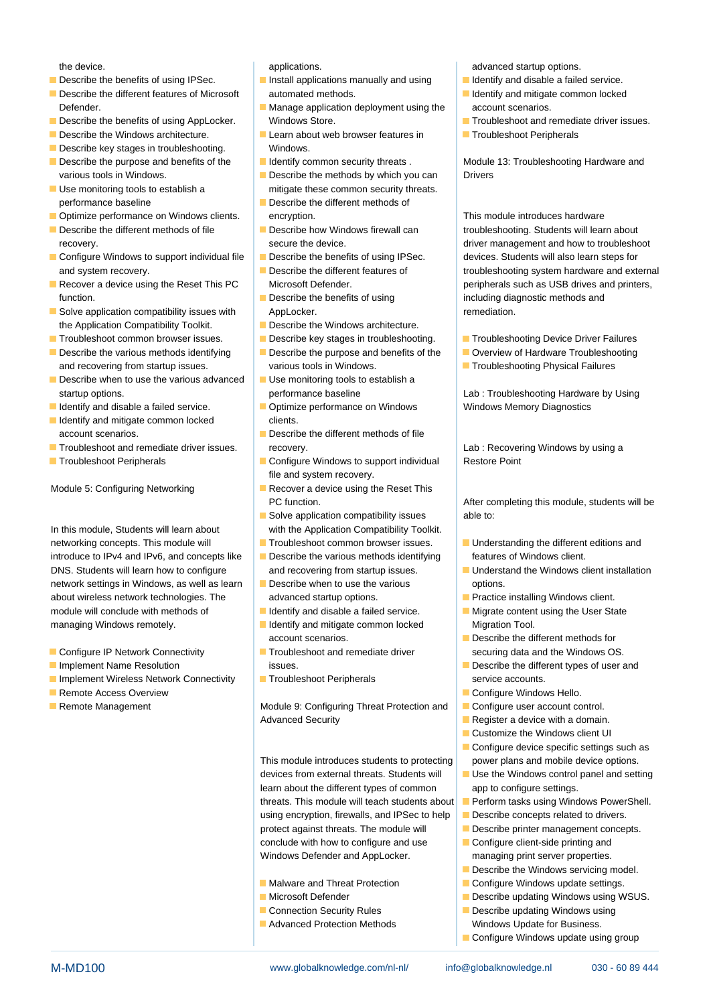- Describe the benefits of using IPSec.  $\Box$  Install applications manually and using  $\Box$  Identify and disable a failed service.
- Describe the different features of Microsoft automated methods. In the Internal Bullentify and mitigate common locked Defender. **Manage application deployment using the account scenarios.** Defender.
- 
- 
- Describe key stages in troubleshooting. Windows.
- various tools in Windows. **Describe the methods by which you can** Drivers
- performance baseline **Describe the different methods of**
- **Optimize performance on Windows clients.** encryption. This module introduces hardware
- 
- 
- function. **Describe the benefits of using including diagnostic methods and** function.
- Solve application compatibility issues with AppLocker. Application and a series of the series of the Solve application. the Application Compatibility Toolkit.  $\Box$  Describe the Windows architecture.
- Troubleshoot common browser issues. Describe key stages in troubleshooting. Troubleshooting Device Driver Failures
- Describe the various methods identifying Describe the purpose and benefits of the Overview of Hardware Troubleshooting and recovering from startup issues. various tools in Windows. The Communication Physical Failures
- Describe when to use the various advanced  $\Box$  Use monitoring tools to establish a startup options. **performance baseline** Lab : Troubleshooting Hardware by Using
- 
- I Identify and mitigate common locked clients.
- **The Troubleshoot and remediate driver issues.** recovery. The covering Cab : Recovering Windows by using a strategies of the covery.
- 

networking concepts. This module will Troubleshoot common browser issues. In Understanding the different editions and introduce to IPv4 and IPv6, and concepts like  $\Box$  Describe the various methods identifying features of Windows client. DNS. Students will learn how to configure and recovering from startup issues. In Directand the Windows client installation network settings in Windows, as well as learn  $\Box$  Describe when to use the various options. about wireless network technologies. The advanced startup options. Practice installing Windows client. module will conclude with methods of Indentify and disable a failed service. Migrate content using the User State managing Windows remotely. **If include the Unit of Algement Conduct Area** Migration Tool.

- 
- 
- **Implement Wireless Network Connectivity Interval Troubleshoot Peripherals Service accounts.** Service accounts.
- 
- 

- 
- 
- Describe the Windows architecture. Learn about web browser features in Froubleshoot Peripherals
	-
- Use monitoring tools to establish a mitigate these common security threats.
	-
	-
	-
	-
	-
	-
	-
	-
- I Identify and disable a failed service. **Optimize performance on Windows Memory Diagnostics** Windows Memory Diagnostics
	- account scenarios. **Describe the different methods of file**
- Troubleshoot Peripherals <br>■ Configure Windows to support individual Restore Point file and system recovery.
- Module 5: Configuring Networking Recover a device using the Reset This
- Solve application compatibility issues able to: In this module, Students will learn about with the Application Compatibility Toolkit.
	-
	-
	-
	-
	- account scenarios.  $\Box$  Describe the different methods for
	-
	-

**Remote Management Module 9: Configuring Threat Protection and Configure user account control.** Advanced Security **Register a device with a domain.** Advanced Security

> This module introduces students to protecting power plans and mobile device options. devices from external threats. Students will Use the Windows control panel and setting learn about the different types of common app to configure settings. threats. This module will teach students about **Perform tasks using Windows PowerShell.** using encryption, firewalls, and IPSec to help **Describe concepts related to drivers.** protect against threats. The module will **Describe printer management concepts.** conclude with how to configure and use Configure client-side printing and Windows Defender and AppLocker. managing print server properties.

- 
- 
- Connection Security Rules Describe updating Windows using
- Advanced Protection Methods Windows Update for Business.

the device. The device is applications. Applications of the device of the device of the device of the device of the device of the device of the device of the device of the device of the device of the device of the device o

- 
- 
- Describe the benefits of using AppLocker. Windows Store. The Store Manuson of Troubleshoot and remediate driver issues.
	-

Describe the purpose and benefits of the Identify common security threats . Module 13: Troubleshooting Hardware and

Describe the different methods of file **Describe how Windows firewall can** troubleshooting. Students will learn about recovery. **Secure the device.** And the device of the device of the device of the device of the device of the device of the device of the device of the device of the device of the device of the device of the device of the d Configure Windows to support individual file Describe the benefits of using IPSec. devices. Students will also learn steps for and system recovery. **Describe the different features of the system is and system hardware and external** Recover a device using the Reset This PC Microsoft Defender. **Example 19 and 19 and 19 and 19 and 19 and 19 and 19 and 19 and 19 and 19 and 19 and 19 and 19 and 19 and 19 and 19 and 19 and 19 and 19 and 19 and 19 and 19 an** 

- 
- 
- 
- 

PC function. The properties of the After completing this module, students will be

- 
- 
- 
- 
- Configure IP Network Connectivity Troubleshoot and remediate driver securing data and the Windows OS.
- **Implement Name Resolution issues.** In the intervention issues. Describe the different types of user and
- **Remote Access Overview Configure Windows Hello.** Configure Windows Hello.
	-
	-
	- **Customize the Windows client UI**
	- Configure device specific settings such as
	-
	-
	-
	-
	-
	- Describe the Windows servicing model.
	- Malware and Threat Protection **Configure Windows update settings.**
	- Microsoft Defender **Describe updating Windows using WSUS.** 
		-
		-
		- Configure Windows update using group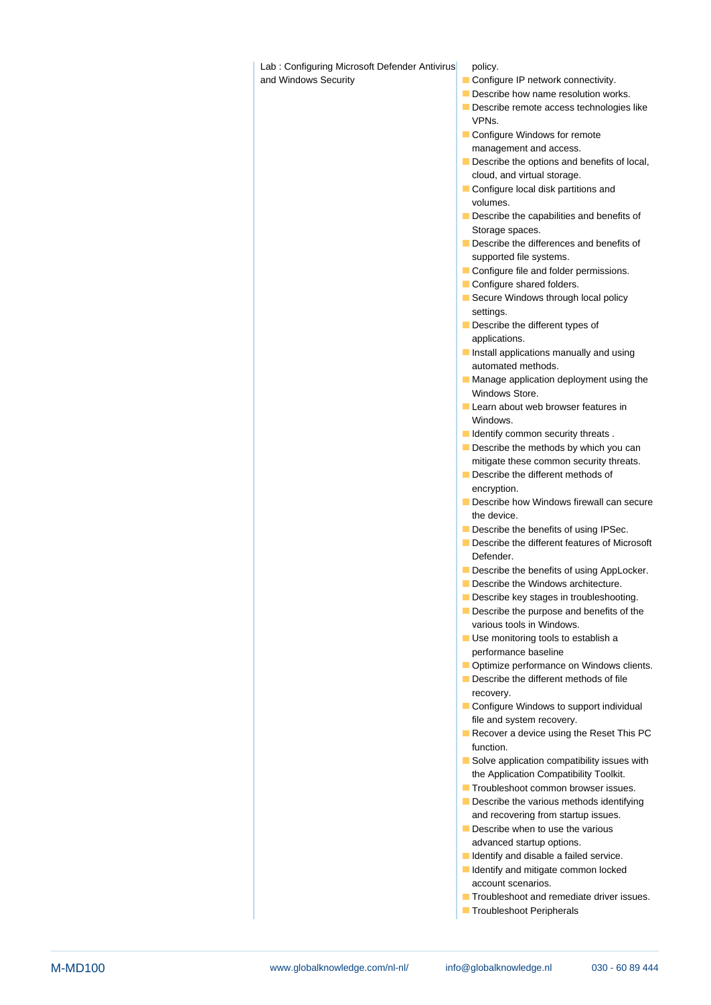Lab : Configuring Microsoft Defender Antivirus policy.

and Windows Security **Configure IP network connectivity.** Configure IP network connectivity.

- $\blacksquare$  Describe how name resolution works.
- Describe remote access technologies like VPNs.
- Configure Windows for remote management and access.
- Describe the options and benefits of local, cloud, and virtual storage.
- Configure local disk partitions and volumes.
- Describe the capabilities and benefits of Storage spaces.
- Describe the differences and benefits of supported file systems.
- Configure file and folder permissions.
- Configure shared folders.
- Secure Windows through local policy settings.
- Describe the different types of applications.
- **Install applications manually and using** automated methods.
- **Manage application deployment using the** Windows Store.
- **Learn about web browser features in** Windows.
- **I**I Identify common security threats .
- Describe the methods by which you can mitigate these common security threats.
- Describe the different methods of encryption.
- Describe how Windows firewall can secure the device.
- Describe the benefits of using IPSec.
- Describe the different features of Microsoft Defender.
- Describe the benefits of using AppLocker.
- Describe the Windows architecture.
- Describe key stages in troubleshooting.
- Describe the purpose and benefits of the various tools in Windows.
- Use monitoring tools to establish a performance baseline
- **Optimize performance on Windows clients.**
- Describe the different methods of file recovery.
- Configure Windows to support individual file and system recovery.
- Recover a device using the Reset This PC function.
- Solve application compatibility issues with the Application Compatibility Toolkit.
- **Troubleshoot common browser issues.**
- Describe the various methods identifying and recovering from startup issues.
- Describe when to use the various advanced startup options.
- I Identify and disable a failed service.
- I Identify and mitigate common locked account scenarios.
- **Troubleshoot and remediate driver issues.**
- **Troubleshoot Peripherals**